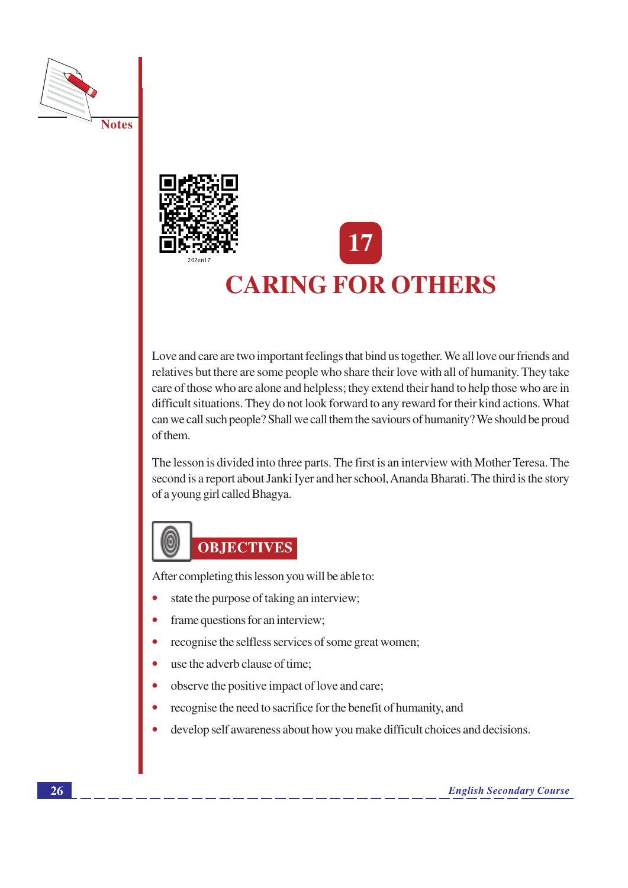



# **CARING FOR OTHERS**

Love and care are two important feelings that bind us together. We all love our friends and relatives but there are some people who share their love with all of humanity. They take care of those who are alone and helpless; they extend their hand to help those who are in difficult situations. They do not look forward to any reward for their kind actions. What can we call such people? Shall we call them the saviours of humanity? We should be proud of them.

The lesson is divided into three parts. The first is an interview with Mother Teresa. The second is a report about Janki Iyer and her school, Ananda Bharati. The third is the story of a young girl called Bhagya.



After completing this lesson you will be able to:

- state the purpose of taking an interview;
- frame questions for an interview;
- recognise the selfless services of some great women;
- use the adverb clause of time:
- observe the positive impact of love and care;
- recognise the need to sacrifice for the benefit of humanity, and
- develop self awareness about how you make difficult choices and decisions.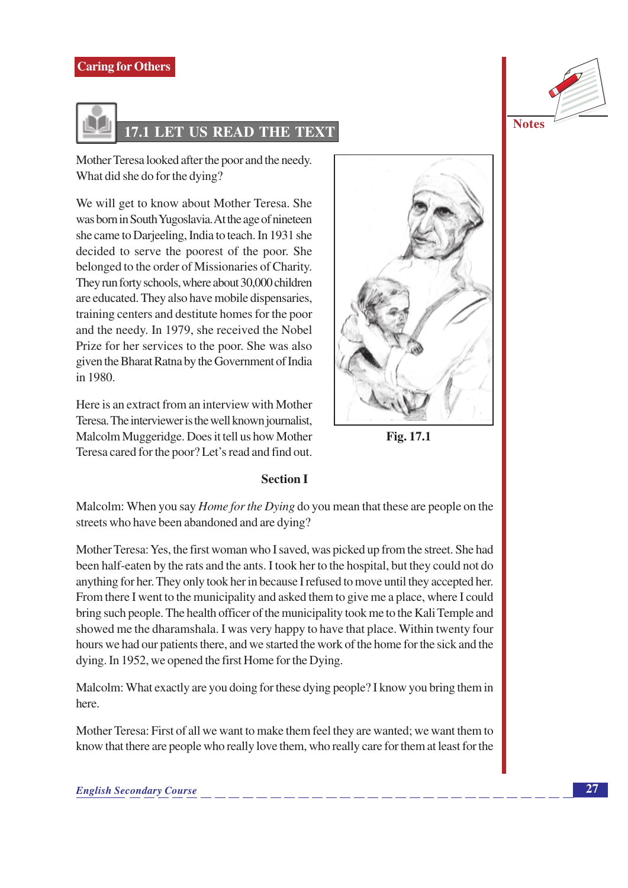

Mother Teresa looked after the poor and the needy. What did she do for the dying?

We will get to know about Mother Teresa. She was born in South Yugoslavia. At the age of nineteen she came to Darjeeling, India to teach. In 1931 she decided to serve the poorest of the poor. She belonged to the order of Missionaries of Charity. They run forty schools, where about 30,000 children are educated. They also have mobile dispensaries, training centers and destitute homes for the poor and the needy. In 1979, she received the Nobel Prize for her services to the poor. She was also given the Bharat Ratna by the Government of India in 1980.

Here is an extract from an interview with Mother Teresa. The interviewer is the well known journalist, Malcolm Muggeridge. Does it tell us how Mother Teresa cared for the poor? Let's read and find out.



Fig. 17.1

### **Section I**

Malcolm: When you say *Home for the Dying* do you mean that these are people on the streets who have been abandoned and are dying?

Mother Teresa: Yes, the first woman who I saved, was picked up from the street. She had been half-eaten by the rats and the ants. I took her to the hospital, but they could not do anything for her. They only took her in because I refused to move until they accepted her. From there I went to the municipality and asked them to give me a place, where I could bring such people. The health officer of the municipality took me to the Kali Temple and showed me the dharamshala. I was very happy to have that place. Within twenty four hours we had our patients there, and we started the work of the home for the sick and the dying. In 1952, we opened the first Home for the Dying.

Malcolm: What exactly are you doing for these dying people? I know you bring them in here.

Mother Teresa: First of all we want to make them feel they are wanted; we want them to know that there are people who really love them, who really care for them at least for the

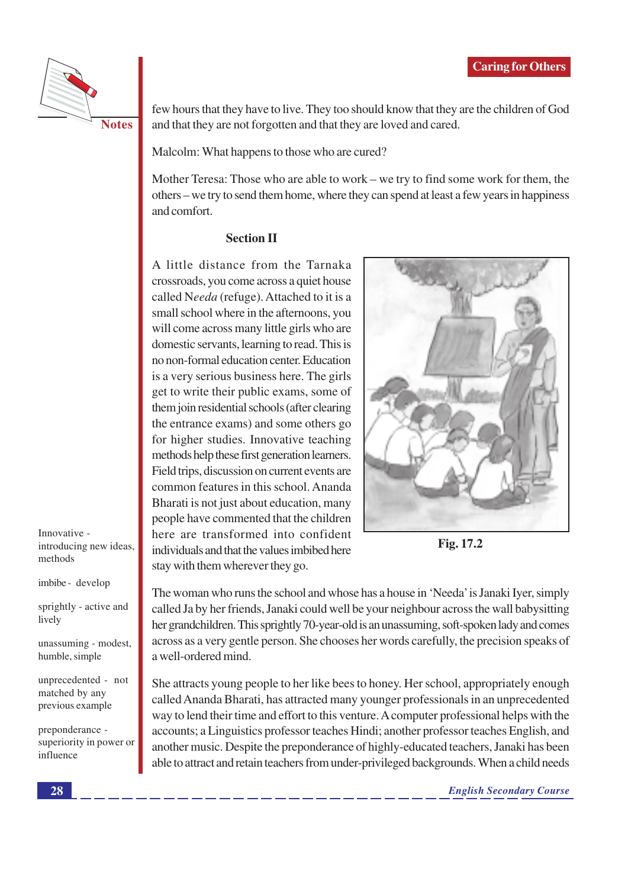

**Notes** 

few hours that they have to live. They too should know that they are the children of God and that they are not forgotten and that they are loved and cared.

Malcolm: What happens to those who are cured?

Mother Teresa: Those who are able to work – we try to find some work for them, the others – we try to send them home, where they can spend at least a few years in happiness and comfort.

### **Section II**

A little distance from the Tarnaka crossroads, you come across a quiet house called Needa (refuge). Attached to it is a small school where in the afternoons, you will come across many little girls who are domestic servants, learning to read. This is no non-formal education center. Education is a very serious business here. The girls get to write their public exams, some of them join residential schools (after clearing the entrance exams) and some others go for higher studies. Innovative teaching methods help these first generation learners. Field trips, discussion on current events are common features in this school. Ananda Bharati is not just about education, many people have commented that the children here are transformed into confident individuals and that the values imbibed here stay with them wherever they go.



Fig. 17.2

Innovative introducing new ideas, methods

imbibe - develop

sprightly - active and lively

unassuming - modest, humble, simple

unprecedented - not matched by any previous example

preponderance superiority in power or influence

The woman who runs the school and whose has a house in 'Needa' is Janaki Iyer, simply called Ja by her friends, Janaki could well be your neighbour across the wall babysitting her grandchildren. This sprightly 70-year-old is an unassuming, soft-spoken lady and comes across as a very gentle person. She chooses her words carefully, the precision speaks of a well-ordered mind.

She attracts young people to her like bees to honey. Her school, appropriately enough called Ananda Bharati, has attracted many younger professionals in an unprecedented way to lend their time and effort to this venture. A computer professional helps with the accounts; a Linguistics professor teaches Hindi; another professor teaches English, and another music. Despite the preponderance of highly-educated teachers, Janaki has been able to attract and retain teachers from under-privileged backgrounds. When a child needs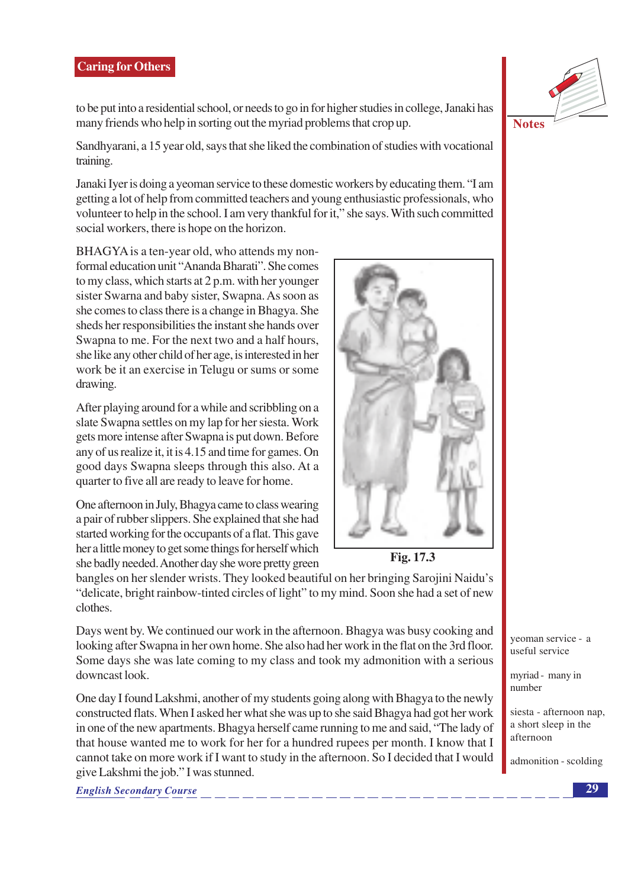

to be put into a residential school, or needs to go in for higher studies in college, Janaki has many friends who help in sorting out the myriad problems that crop up.

Sandhyarani, a 15 year old, says that she liked the combination of studies with vocational training.

Janaki Iver is doing a yeoman service to these domestic workers by educating them. "I am getting a lot of help from committed teachers and young enthusiastic professionals, who volunteer to help in the school. I am very thankful for it," she says. With such committed social workers, there is hope on the horizon.

BHAGYA is a ten-year old, who attends my nonformal education unit "Ananda Bharati". She comes to my class, which starts at 2 p.m. with her younger sister Swarna and baby sister, Swapna. As soon as she comes to class there is a change in Bhagya. She sheds her responsibilities the instant she hands over Swapna to me. For the next two and a half hours, she like any other child of her age, is interested in her work be it an exercise in Telugu or sums or some drawing.

After playing around for a while and scribbling on a slate Swapna settles on my lap for her siesta. Work gets more intense after Swapna is put down. Before any of us realize it, it is 4.15 and time for games. On good days Swapna sleeps through this also. At a quarter to five all are ready to leave for home.

One afternoon in July, Bhagya came to class wearing a pair of rubber slippers. She explained that she had started working for the occupants of a flat. This gave her a little money to get some things for herself which she badly needed. Another day she wore pretty green



Fig. 17.3

bangles on her slender wrists. They looked beautiful on her bringing Sarojini Naidu's "delicate, bright rainbow-tinted circles of light" to my mind. Soon she had a set of new clothes.

Days went by. We continued our work in the afternoon. Bhagya was busy cooking and looking after Swapna in her own home. She also had her work in the flat on the 3rd floor. Some days she was late coming to my class and took my admonition with a serious downcast look.

One day I found Lakshmi, another of my students going along with Bhagya to the newly constructed flats. When I asked her what she was up to she said Bhagya had got her work in one of the new apartments. Bhagya herself came running to me and said, "The lady of that house wanted me to work for her for a hundred rupees per month. I know that I cannot take on more work if I want to study in the afternoon. So I decided that I would give Lakshmi the job." I was stunned.

**English Secondary Course** 

yeoman service - a useful service

myriad - many in number

siesta - afternoon nap, a short sleep in the afternoon

admonition - scolding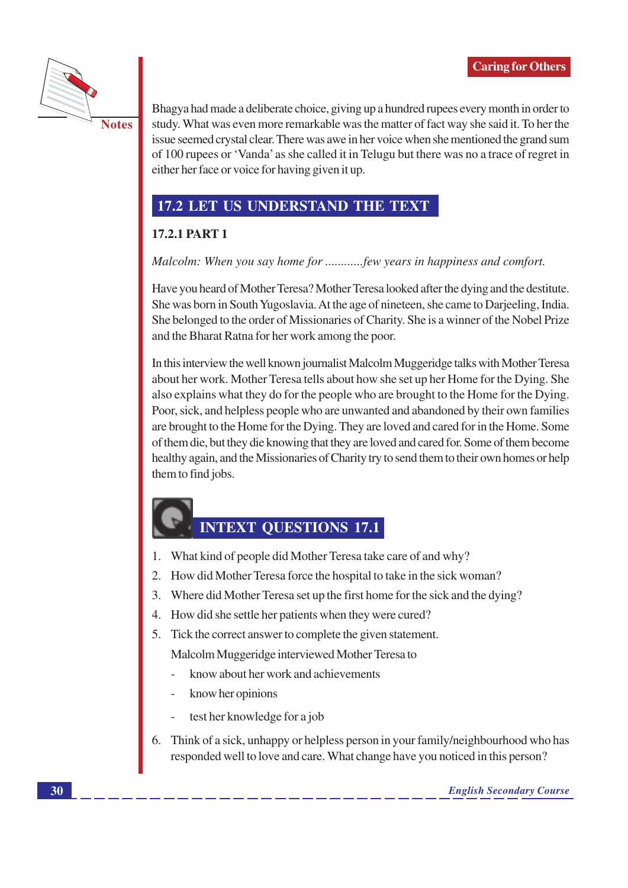

**Notes** 

Bhagya had made a deliberate choice, giving up a hundred rupees every month in order to study. What was even more remarkable was the matter of fact way she said it. To her the issue seemed crystal clear. There was awe in her voice when she mentioned the grand sum of 100 rupees or 'Vanda' as she called it in Telugu but there was no a trace of regret in either her face or voice for having given it up.

### 17.2 LET US UNDERSTAND THE TEXT

### **17.2.1 PART 1**

Malcolm: When you say home for .............few years in happiness and comfort.

Have you heard of Mother Teresa? Mother Teresa looked after the dying and the destitute. She was born in South Yugoslavia. At the age of nineteen, she came to Darjeeling, India. She belonged to the order of Missionaries of Charity. She is a winner of the Nobel Prize and the Bharat Ratna for her work among the poor.

In this interview the well known journalist Malcolm Muggeridge talks with Mother Teresa about her work. Mother Teresa tells about how she set up her Home for the Dying. She also explains what they do for the people who are brought to the Home for the Dying. Poor, sick, and helpless people who are unwanted and abandoned by their own families are brought to the Home for the Dying. They are loved and cared for in the Home. Some of them die, but they die knowing that they are loved and cared for. Some of them become healthy again, and the Missionaries of Charity try to send them to their own homes or help them to find jobs.

### **INTEXT QUESTIONS 17.1**

- 1. What kind of people did Mother Teresa take care of and why?
- 2. How did Mother Teresa force the hospital to take in the sick woman?
- $\overline{3}$ . Where did Mother Teresa set up the first home for the sick and the dying?
- 4. How did she settle her patients when they were cured?
- 5. Tick the correct answer to complete the given statement.

Malcolm Muggeridge interviewed Mother Teresa to

- know about her work and achievements
- know her opinions
- test her knowledge for a job
- Think of a sick, unhappy or helpless person in your family/neighbourhood who has 6. responded well to love and care. What change have you noticed in this person?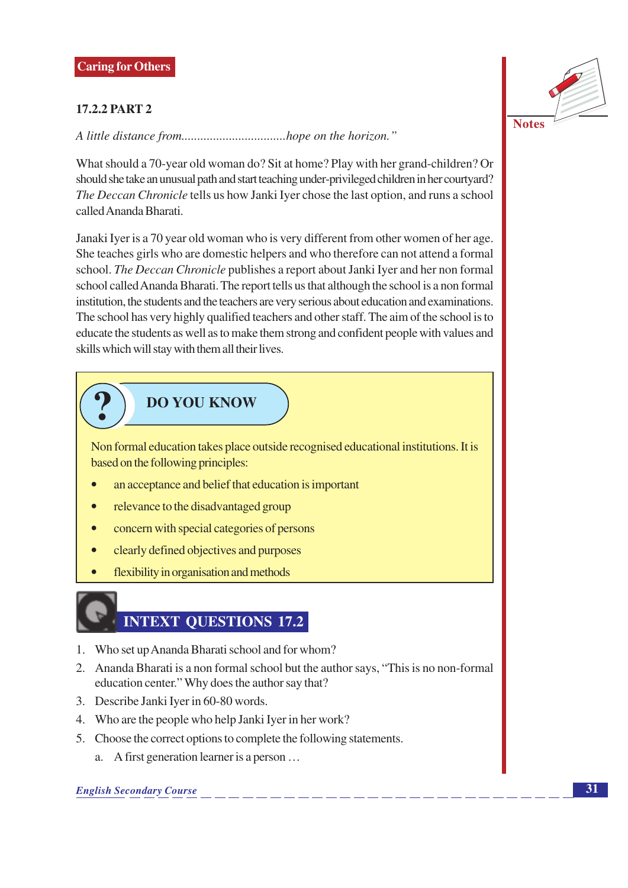### **17.2.2 PART 2**



What should a 70-year old woman do? Sit at home? Play with her grand-children? Or should she take an unusual path and start teaching under-privileged children in her courtyard? The Deccan Chronicle tells us how Janki Iver chose the last option, and runs a school called Ananda Bharati

Janaki Iver is a 70 year old woman who is very different from other women of her age. She teaches girls who are domestic helpers and who therefore can not attend a formal school. The Deccan Chronicle publishes a report about Janki Iyer and her non formal school called Ananda Bharati. The report tells us that although the school is a non formal institution, the students and the teachers are very serious about education and examinations. The school has very highly qualified teachers and other staff. The aim of the school is to educate the students as well as to make them strong and confident people with values and skills which will stay with them all their lives.

# **DO YOU KNOW**

Non formal education takes place outside recognised educational institutions. It is based on the following principles:

- an acceptance and belief that education is important
- **C** relevance to the disadvantaged group
- concern with special categories of persons  $\bullet$
- clearly defined objectives and purposes  $\bullet$
- flexibility in organisation and methods

## **INTEXT QUESTIONS 17.2**

- 1. Who set up Ananda Bharati school and for whom?
- 2. Ananda Bharati is a non formal school but the author says, "This is no non-formal" education center." Why does the author say that?
- 3. Describe Janki Iver in 60-80 words.
- 4. Who are the people who help Janki Iyer in her work?
- 5. Choose the correct options to complete the following statements.
	- a. A first generation learner is a person ...

### **English Secondary Course**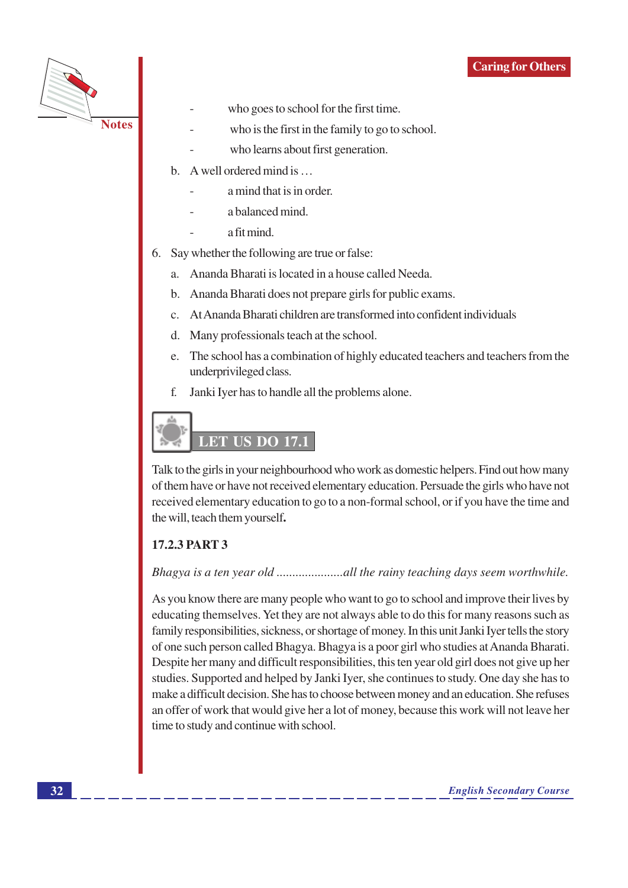

who goes to school for the first time.

- who is the first in the family to go to school.
- who learns about first generation.
- A well ordered mind is ... h.
	- a mind that is in order.
	- a balanced mind.
	- a fit mind.
- 6. Say whether the following are true or false:
	- a. Ananda Bharati is located in a house called Needa.
	- b. Ananda Bharati does not prepare girls for public exams.
	- c. At Ananda Bharati children are transformed into confident individuals
	- d. Many professionals teach at the school.
	- The school has a combination of highly educated teachers and teachers from the  $e<sub>1</sub>$ underprivileged class.
	- Janki Iyer has to handle all the problems alone. f.

# **LET US DO 17.1**

Talk to the girls in your neighbourhood who work as domestic helpers. Find out how many of them have or have not received elementary education. Persuade the girls who have not received elementary education to go to a non-formal school, or if you have the time and the will, teach them yourself.

### **17.2.3 PART 3**

### Bhagya is a ten year old ...........................all the rainy teaching days seem worthwhile.

As you know there are many people who want to go to school and improve their lives by educating themselves. Yet they are not always able to do this for many reasons such as family responsibilities, sickness, or shortage of money. In this unit Janki Iyer tells the story of one such person called Bhagya. Bhagya is a poor girl who studies at Ananda Bharati. Despite her many and difficult responsibilities, this ten year old girl does not give up her studies. Supported and helped by Janki Iyer, she continues to study. One day she has to make a difficult decision. She has to choose between money and an education. She refuses an offer of work that would give her a lot of money, because this work will not leave her time to study and continue with school.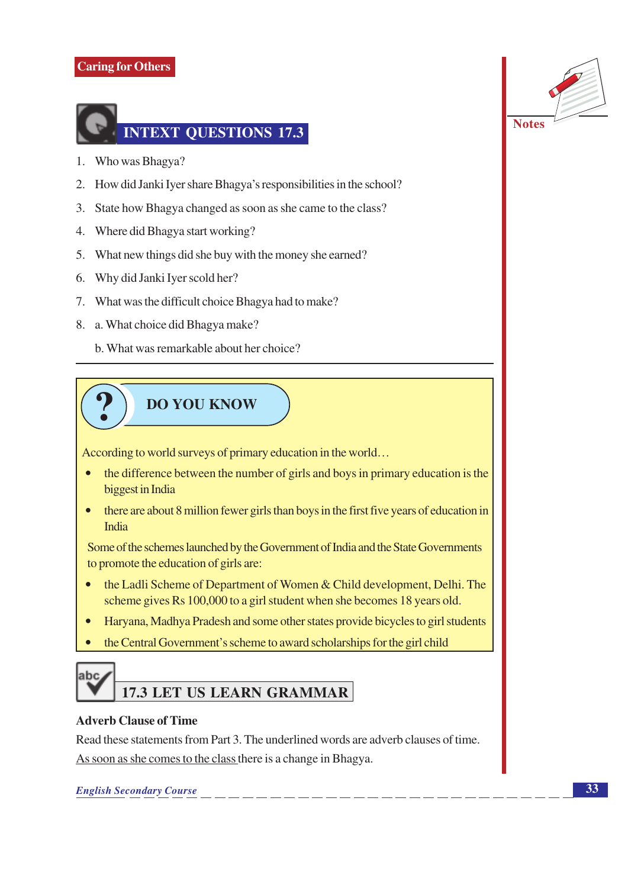

- 1. Who was Bhagya?
- 2. How did Janki Iyer share Bhagya's responsibilities in the school?
- 3. State how Bhagya changed as soon as she came to the class?
- 4. Where did Bhagya start working?
- 5. What new things did she buy with the money she earned?
- 6. Why did Janki Iyer scold her?
- 7. What was the difficult choice Bhagya had to make?
- 8. a. What choice did Bhagya make?
	- b. What was remarkable about her choice?

# **DO YOU KNOW**

According to world surveys of primary education in the world...

- the difference between the number of girls and boys in primary education is the biggest in India
- there are about 8 million fewer girls than boys in the first five years of education in **India**

Some of the schemes launched by the Government of India and the State Governments to promote the education of girls are:

- the Ladli Scheme of Department of Women & Child development, Delhi. The  $\bullet$ scheme gives Rs 100,000 to a girl student when she becomes 18 years old.
- Haryana, Madhya Pradesh and some other states provide bicycles to girl students  $\bullet$
- the Central Government's scheme to award scholarships for the girl child

## abc 17.3 LET US LEARN GRAMMAR

### **Adverb Clause of Time**

Read these statements from Part 3. The underlined words are adverb clauses of time. As soon as she comes to the class there is a change in Bhagya.

**English Secondary Course** 

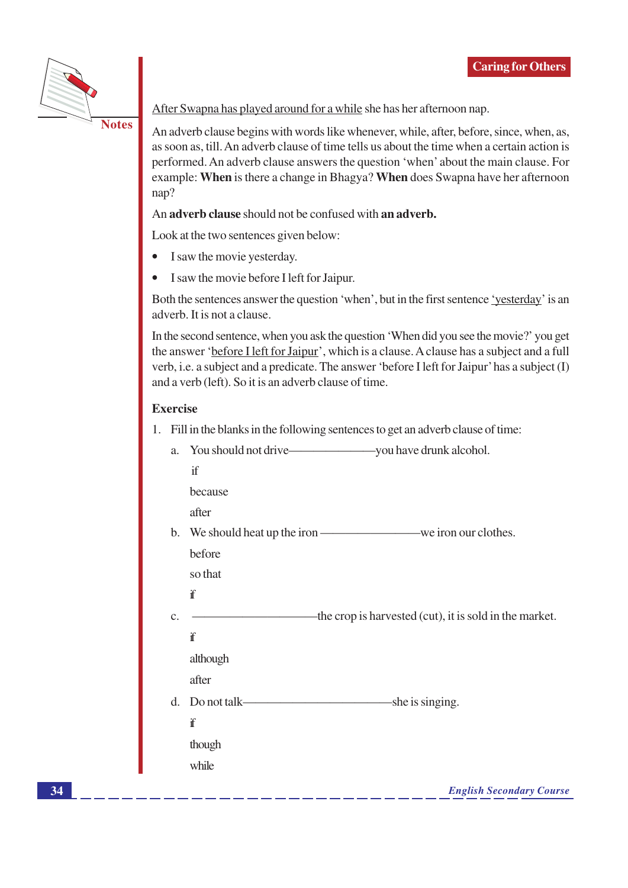

After Swapna has played around for a while she has her afternoon nap.

An adverb clause begins with words like whenever, while, after, before, since, when, as, as soon as, till. An adverb clause of time tells us about the time when a certain action is performed. An adverb clause answers the question 'when' about the main clause. For example: When is there a change in Bhagya? When does Swapna have her afternoon nap?

An adverb clause should not be confused with an adverb.

Look at the two sentences given below:

- I saw the movie yesterday.
- I saw the movie before I left for Jaipur.

Both the sentences answer the question 'when', but in the first sentence 'vesterday' is an adverb. It is not a clause.

In the second sentence, when you ask the question 'When did you see the movie?' you get the answer 'before I left for Jaipur', which is a clause. A clause has a subject and a full verb, i.e. a subject and a predicate. The answer 'before I left for Jaipur' has a subject (I) and a verb (left). So it is an adverb clause of time.

### **Exercise**

1. Fill in the blanks in the following sentences to get an adverb clause of time:

|               | a.                                                     |  |
|---------------|--------------------------------------------------------|--|
|               | if                                                     |  |
|               | because                                                |  |
|               | after                                                  |  |
|               |                                                        |  |
|               | before                                                 |  |
|               | so that                                                |  |
|               | ï                                                      |  |
| $C_{\bullet}$ | the crop is harvested (cut), it is sold in the market. |  |
|               | ï                                                      |  |
|               | although                                               |  |
|               | after                                                  |  |
|               |                                                        |  |
|               | ï                                                      |  |
|               | though                                                 |  |
|               | while                                                  |  |
|               | <b>English Secondary Course</b>                        |  |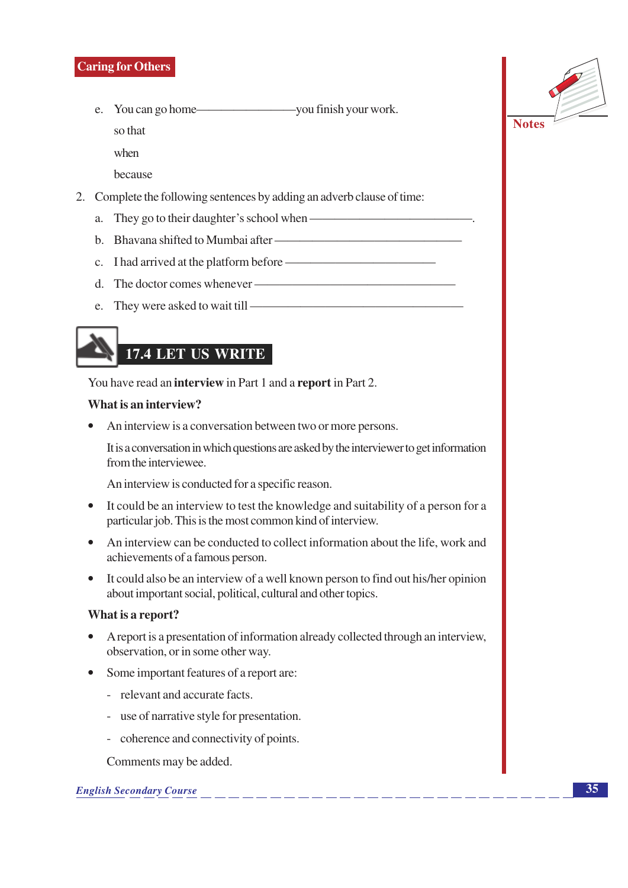so that

when

because

- 2. Complete the following sentences by adding an adverb clause of time:
	- a. They go to their daughter's school when —
	- b. Bhayana shifted to Mumbai after —
	- c. I had arrived at the platform before —
	- d. The doctor comes whenever  $\equiv$
	-

# 17.4 LET US WRITE

You have read an interview in Part 1 and a report in Part 2.

### What is an interview?

An interview is a conversation between two or more persons.

It is a conversation in which questions are asked by the interviewer to get information from the interviewee.

An interview is conducted for a specific reason.

- It could be an interview to test the knowledge and suitability of a person for a particular job. This is the most common kind of interview.
- An interview can be conducted to collect information about the life, work and achievements of a famous person.
- It could also be an interview of a well known person to find out his/her opinion about important social, political, cultural and other topics.

### What is a report?

- A report is a presentation of information already collected through an interview, observation, or in some other way.
- Some important features of a report are:
	- relevant and accurate facts.
	- use of narrative style for presentation.
	- coherence and connectivity of points.

Comments may be added.

### **English Secondary Course**



**Notes**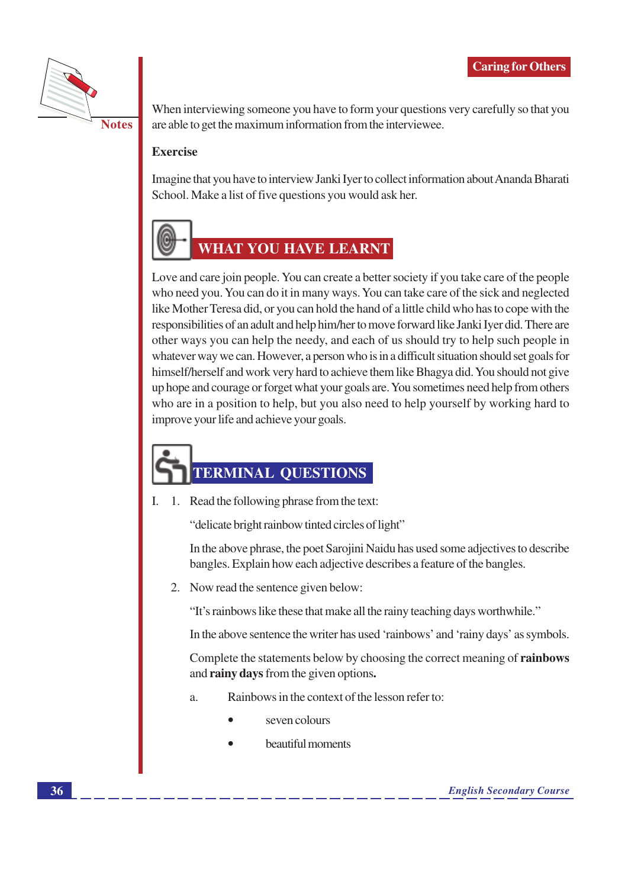

When interviewing someone you have to form your questions very carefully so that you are able to get the maximum information from the interviewee.

### **Exercise**

Imagine that you have to interview Janki Iver to collect information about Ananda Bharati School. Make a list of five questions you would ask her.



## **WHAT YOU HAVE LEARNT**

Love and care join people. You can create a better society if you take care of the people who need you. You can do it in many ways. You can take care of the sick and neglected like Mother Teresa did, or you can hold the hand of a little child who has to cope with the responsibilities of an adult and help him/her to move forward like Janki Iyer did. There are other ways you can help the needy, and each of us should try to help such people in whatever way we can. However, a person who is in a difficult situation should set goals for himself/herself and work very hard to achieve them like Bhagya did. You should not give up hope and courage or forget what your goals are. You sometimes need help from others who are in a position to help, but you also need to help yourself by working hard to improve your life and achieve your goals.

# **TERMINAL QUESTIONS**

 $\mathbf{L}$ 1. Read the following phrase from the text:

"delicate bright rainbow tinted circles of light"

In the above phrase, the poet Sarojini Naidu has used some adjectives to describe bangles. Explain how each adjective describes a feature of the bangles.

2. Now read the sentence given below:

"It's rainbows like these that make all the rainy teaching days worthwhile."

In the above sentence the writer has used 'rainbows' and 'rainy days' as symbols.

Complete the statements below by choosing the correct meaning of rainbows and rainy days from the given options.

- Rainbows in the context of the lesson refer to: a.
	- seven colours
	- beautiful moments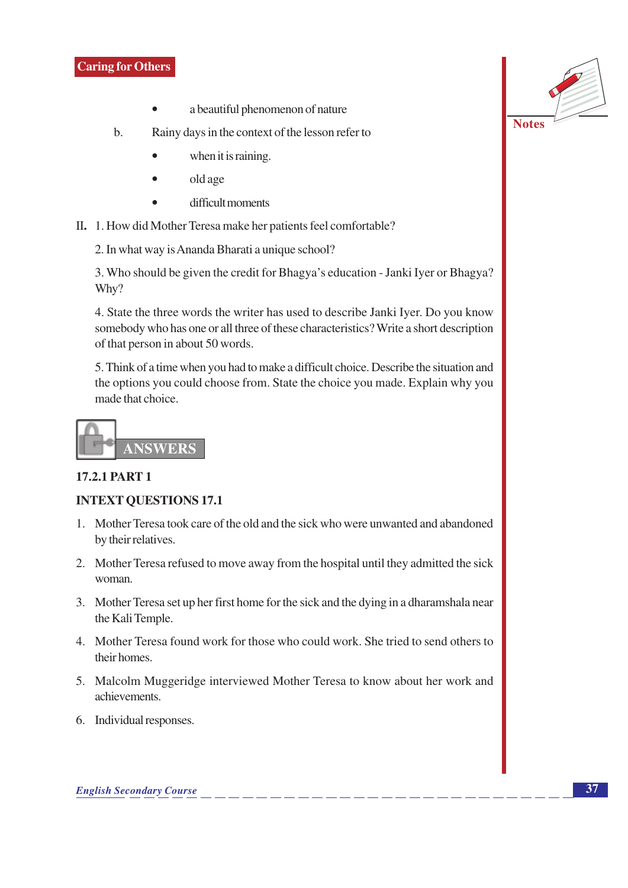- a beautiful phenomenon of nature
- b. Rainy days in the context of the lesson refer to
	- when it is raining.
	- old age
	- difficult moments
- II. 1. How did Mother Teresa make her patients feel comfortable?

2. In what way is Ananda Bharati a unique school?

3. Who should be given the credit for Bhagya's education - Janki Iyer or Bhagya? Why?

4. State the three words the writer has used to describe Janki Iyer. Do you know somebody who has one or all three of these characteristics? Write a short description of that person in about 50 words.

5. Think of a time when you had to make a difficult choice. Describe the situation and the options you could choose from. State the choice you made. Explain why you made that choice.



### **17.2.1 PART 1**

### **INTEXT QUESTIONS 17.1**

- 1. Mother Teresa took care of the old and the sick who were unwanted and abandoned by their relatives.
- 2. Mother Teresa refused to move away from the hospital until they admitted the sick woman.
- 3. Mother Teresa set up her first home for the sick and the dying in a dharamshala near the Kali Temple.
- 4. Mother Teresa found work for those who could work. She tried to send others to their homes.
- 5. Malcolm Muggeridge interviewed Mother Teresa to know about her work and achievements.
- 6. Individual responses.

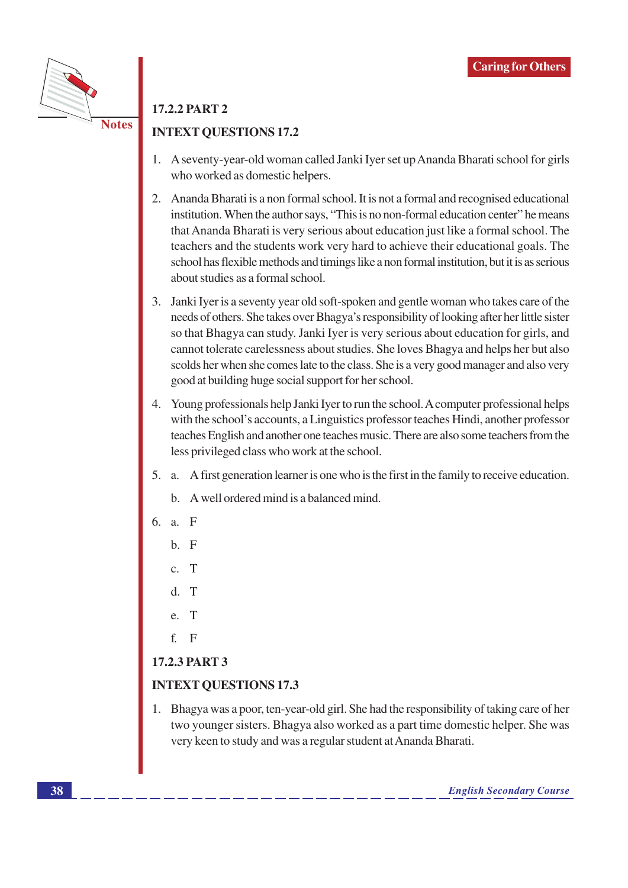

### **17.2.2 PART 2**

### **INTEXT QUESTIONS 17.2**

- 1. A seventy-year-old woman called Janki Iyer set up Ananda Bharati school for girls who worked as domestic helpers.
- 2. Ananda Bharati is a non formal school. It is not a formal and recognised educational institution. When the author says, "This is no non-formal education center" he means that Ananda Bharati is very serious about education just like a formal school. The teachers and the students work very hard to achieve their educational goals. The school has flexible methods and timings like a non formal institution, but it is as serious about studies as a formal school.
- 3. Janki Iver is a seventy year old soft-spoken and gentle woman who takes care of the needs of others. She takes over Bhagya's responsibility of looking after her little sister so that Bhagya can study. Janki Iyer is very serious about education for girls, and cannot tolerate carelessness about studies. She loves Bhagya and helps her but also scolds her when she comes late to the class. She is a very good manager and also very good at building huge social support for her school.
- 4. Young professionals help Janki Iyer to run the school. A computer professional helps with the school's accounts, a Linguistics professor teaches Hindi, another professor teaches English and another one teaches music. There are also some teachers from the less privileged class who work at the school.
- 5. a. A first generation learner is one who is the first in the family to receive education.
	- b. A well ordered mind is a balanced mind.
- 6. a.  $\mathbf{F}$ 
	- $h$ . F
	- $\mathcal{C}$  $\mathsf{T}$
	- $d_{\cdot}$ T
	- $\mathsf{T}$
	- f. F

### **17.2.3 PART 3**

### **INTEXT QUESTIONS 17.3**

1. Bhagya was a poor, ten-year-old girl. She had the responsibility of taking care of her two younger sisters. Bhagya also worked as a part time domestic helper. She was very keen to study and was a regular student at Ananda Bharati.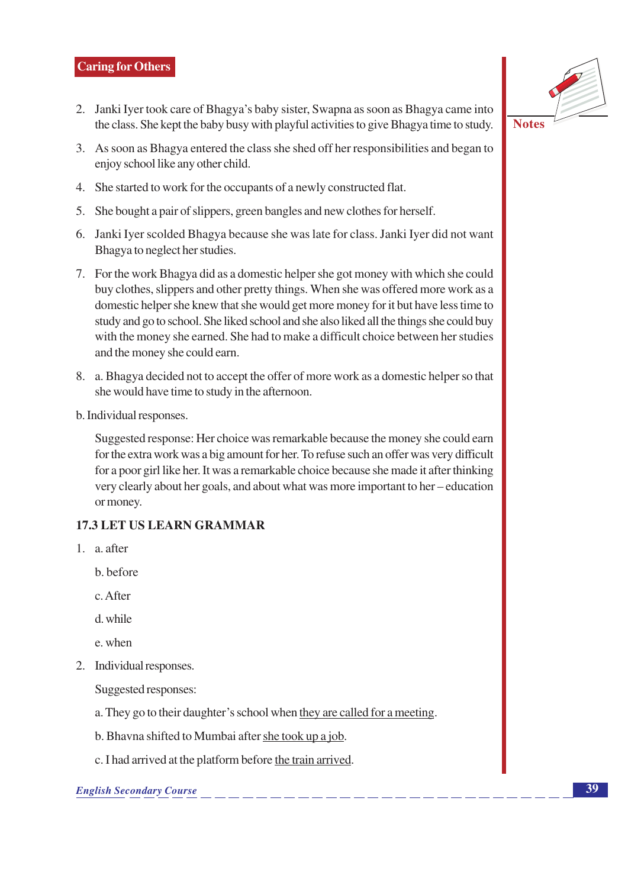- 2. Janki Iyer took care of Bhagya's baby sister, Swapna as soon as Bhagya came into the class. She kept the baby busy with playful activities to give Bhagya time to study.
- 3. As soon as Bhagya entered the class she shed off her responsibilities and began to enjoy school like any other child.
- 4. She started to work for the occupants of a newly constructed flat.
- 5. She bought a pair of slippers, green bangles and new clothes for herself.
- 6. Janki Iyer scolded Bhagya because she was late for class. Janki Iyer did not want Bhagya to neglect her studies.
- 7. For the work Bhagya did as a domestic helper she got money with which she could buy clothes, slippers and other pretty things. When she was offered more work as a domestic helper she knew that she would get more money for it but have less time to study and go to school. She liked school and she also liked all the things she could buy with the money she earned. She had to make a difficult choice between her studies and the money she could earn.
- 8. a. Bhagya decided not to accept the offer of more work as a domestic helper so that she would have time to study in the afternoon.
- b. Individual responses.

Suggested response: Her choice was remarkable because the money she could earn for the extra work was a big amount for her. To refuse such an offer was very difficult for a poor girl like her. It was a remarkable choice because she made it after thinking very clearly about her goals, and about what was more important to her – education or money.

### **17.3 LET US LEARN GRAMMAR**

- 1.  $a.$  after
	- **b** hefore
	- c. After
	- d while
	- e. when
- 2. Individual responses.
	- Suggested responses:
	- a. They go to their daughter's school when they are called for a meeting.
	- b. Bhavna shifted to Mumbai after she took up a job.
	- c. I had arrived at the platform before the train arrived.